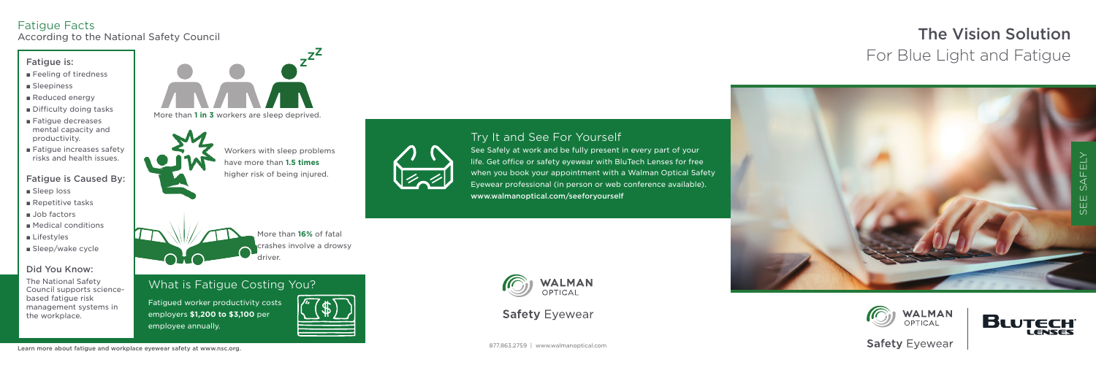# Try It and See For Yourself

See Safely at work and be fully present in every part of your life. Get office or safety eyewear with BluTech Lenses for free when you book your appointment with a Walman Optical Safety Eyewear professional (in person or web conference available). www.walmanoptical.com/seeforyourself



**Safety Eyewear** 

- Feeling of tiredness
- Sleepiness
- Reduced energy
- Difficulty doing tasks
- Fatigue decreases mental capacity and productivity.
- Fatigue increases safety risks and health issues.







**Safety Eyewear** 

# The Vision Solution For Blue Light and Fatigue



Fatigued worker productivity costs employers **\$1,200 to \$3,100** per employee annually.





#### Fatigue is:

#### Fatigue is Caused By:

- Sleep loss
- Repetitive tasks
- Job factors
- Medical conditions
- Lifestyles
- Sleep/wake cycle

### Did You Know:

The National Safety Council supports sciencebased fatigue risk management systems in the workplace.

# Fatigue Facts

According to the National Safety Council





More than **16%** of fatal crashes involve a drowsy driver.

Workers with sleep problems have more than **1.5 times** higher risk of being injured.



# What is Fatigue Costing You?